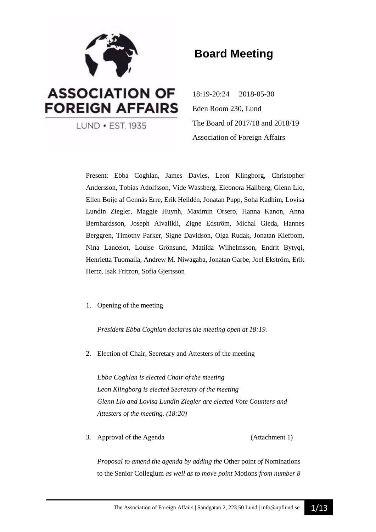

# **Board Meeting**

18:19-20:24 2018-05-30 Eden Room 230, Lund The Board of 2017/18 and 2018/19 Association of Foreign Affairs

Present: Ebba Coghlan, James Davies, Leon Klingborg, Christopher Andersson, Tobias Adolfsson, Vide Wassberg, Eleonora Hallberg, Glenn Lio, Ellen Boije af Gennäs Erre, Erik Helldén, Jonatan Pupp, Soha Kadhim, Lovisa Lundin Ziegler, Maggie Huynh, Maximin Orsero, Hanna Kanon, Anna Bernhardsson, Joseph Aivalikli, Zigne Edström, Michal Gieda, Hannes Berggren, Timothy Parker, Signe Davidson, Olga Rudak, Jonatan Klefbom, Nina Lancelot, Louise Grönsund, Matilda Wilhelmsson, Endrit Bytyqi, Henrietta Tuomaila, Andrew M. Niwagaba, Jonatan Garbe, Joel Ekström, Erik Hertz, Isak Fritzon, Sofia Gjertsson

1. Opening of the meeting

*President Ebba Coghlan declares the meeting open at 18:19.*

2. Election of Chair, Secretary and Attesters of the meeting

*Ebba Coghlan is elected Chair of the meeting Leon Klingborg is elected Secretary of the meeting Glenn Lio and Lovisa Lundin Ziegler are elected Vote Counters and Attesters of the meeting. (18:20)*

3. Approval of the Agenda (Attachment 1)

*Proposal to amend the agenda by adding the* Other point *of* Nominations to the Senior Collegium *as well as to move point* Motions *from number 8*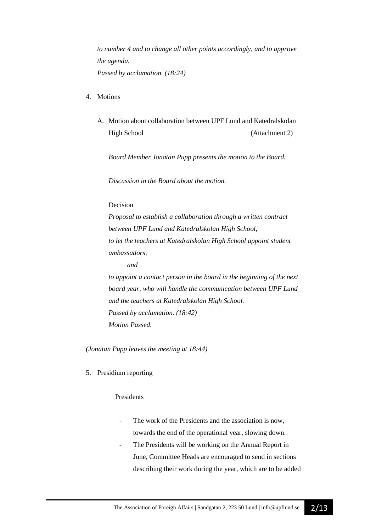*to number 4 and to change all other points accordingly, and to approve the agenda. Passed by acclamation. (18:24)*

- 4. Motions
	- A. Motion about collaboration between UPF Lund and Katedralskolan High School (Attachment 2)

*Board Member Jonatan Pupp presents the motion to the Board.*

*Discussion in the Board about the motion.*

#### Decision

*Proposal to establish a collaboration through a written contract between UPF Lund and Katedralskolan High School, to let the teachers at Katedralskolan High School appoint student ambassadors,*

*and*

*to appoint a contact person in the board in the beginning of the next board year, who will handle the communication between UPF Lund and the teachers at Katedralskolan High School. Passed by acclamation. (18:42) Motion Passed.*

*(Jonatan Pupp leaves the meeting at 18:44)*

5. Presidium reporting

#### Presidents

- The work of the Presidents and the association is now, towards the end of the operational year, slowing down.
- The Presidents will be working on the Annual Report in June, Committee Heads are encouraged to send in sections describing their work during the year, which are to be added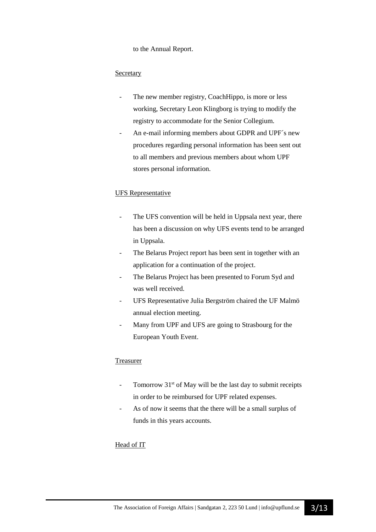to the Annual Report.

## **Secretary**

- The new member registry, CoachHippo, is more or less working, Secretary Leon Klingborg is trying to modify the registry to accommodate for the Senior Collegium.
- An e-mail informing members about GDPR and UPF's new procedures regarding personal information has been sent out to all members and previous members about whom UPF stores personal information.

### UFS Representative

- The UFS convention will be held in Uppsala next year, there has been a discussion on why UFS events tend to be arranged in Uppsala.
- The Belarus Project report has been sent in together with an application for a continuation of the project.
- The Belarus Project has been presented to Forum Syd and was well received.
- UFS Representative Julia Bergström chaired the UF Malmö annual election meeting.
- Many from UPF and UFS are going to Strasbourg for the European Youth Event.

### Treasurer

- Tomorrow  $31<sup>st</sup>$  of May will be the last day to submit receipts in order to be reimbursed for UPF related expenses.
- As of now it seems that the there will be a small surplus of funds in this years accounts.

# Head of IT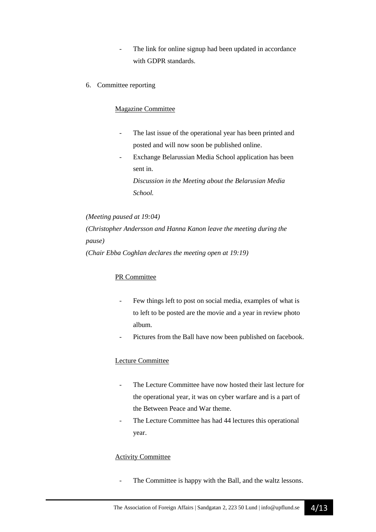- The link for online signup had been updated in accordance with GDPR standards.
- 6. Committee reporting

## Magazine Committee

- The last issue of the operational year has been printed and posted and will now soon be published online.
- Exchange Belarussian Media School application has been sent in.

*Discussion in the Meeting about the Belarusian Media School.*

*(Meeting paused at 19:04) (Christopher Andersson and Hanna Kanon leave the meeting during the pause) (Chair Ebba Coghlan declares the meeting open at 19:19)*

# PR Committee

- Few things left to post on social media, examples of what is to left to be posted are the movie and a year in review photo album.
- Pictures from the Ball have now been published on facebook.

### Lecture Committee

- The Lecture Committee have now hosted their last lecture for the operational year, it was on cyber warfare and is a part of the Between Peace and War theme.
- The Lecture Committee has had 44 lectures this operational year.

### Activity Committee

The Committee is happy with the Ball, and the waltz lessons.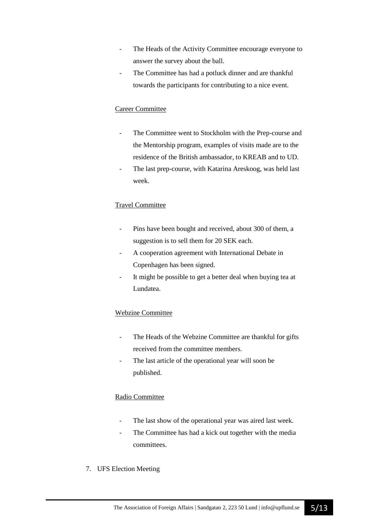- The Heads of the Activity Committee encourage everyone to answer the survey about the ball.
- The Committee has had a potluck dinner and are thankful towards the participants for contributing to a nice event.

# Career Committee

- The Committee went to Stockholm with the Prep-course and the Mentorship program, examples of visits made are to the residence of the British ambassador, to KREAB and to UD.
- The last prep-course, with Katarina Areskoog, was held last week.

# Travel Committee

- Pins have been bought and received, about 300 of them, a suggestion is to sell them for 20 SEK each.
- A cooperation agreement with International Debate in Copenhagen has been signed.
- It might be possible to get a better deal when buying tea at Lundatea.

# Webzine Committee

- The Heads of the Webzine Committee are thankful for gifts received from the committee members.
- The last article of the operational year will soon be published.

# Radio Committee

- The last show of the operational year was aired last week.
- The Committee has had a kick out together with the media committees.
- 7. UFS Election Meeting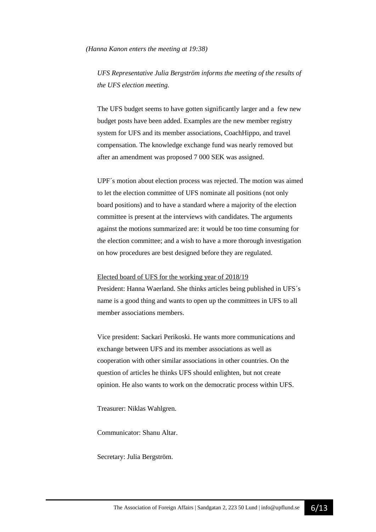*(Hanna Kanon enters the meeting at 19:38)*

*UFS Representative Julia Bergström informs the meeting of the results of the UFS election meeting.* 

The UFS budget seems to have gotten significantly larger and a few new budget posts have been added. Examples are the new member registry system for UFS and its member associations, CoachHippo, and travel compensation. The knowledge exchange fund was nearly removed but after an amendment was proposed 7 000 SEK was assigned.

UPF´s motion about election process was rejected. The motion was aimed to let the election committee of UFS nominate all positions (not only board positions) and to have a standard where a majority of the election committee is present at the interviews with candidates. The arguments against the motions summarized are: it would be too time consuming for the election committee; and a wish to have a more thorough investigation on how procedures are best designed before they are regulated.

#### Elected board of UFS for the working year of 2018/19

President: Hanna Waerland. She thinks articles being published in UFS´s name is a good thing and wants to open up the committees in UFS to all member associations members.

Vice president: Sackari Perikoski. He wants more communications and exchange between UFS and its member associations as well as cooperation with other similar associations in other countries. On the question of articles he thinks UFS should enlighten, but not create opinion. He also wants to work on the democratic process within UFS.

Treasurer: Niklas Wahlgren.

Communicator: Shanu Altar.

Secretary: Julia Bergström.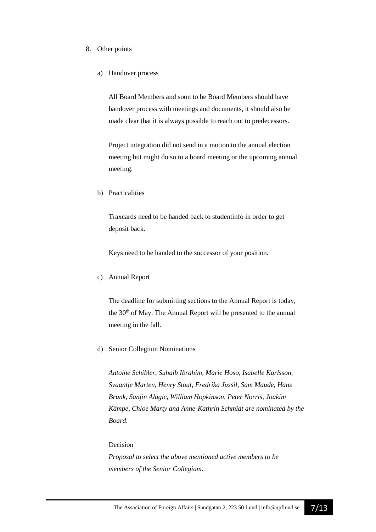#### 8. Other points

a) Handover process

All Board Members and soon to be Board Members should have handover process with meetings and documents, it should also be made clear that it is always possible to reach out to predecessors.

Project integration did not send in a motion to the annual election meeting but might do so to a board meeting or the upcoming annual meeting.

b) Practicalities

Traxcards need to be handed back to studentinfo in order to get deposit back.

Keys need to be handed to the successor of your position.

c) Annual Report

The deadline for submitting sections to the Annual Report is today, the 30<sup>th</sup> of May. The Annual Report will be presented to the annual meeting in the fall.

d) Senior Collegium Nominations

*Antoine Schibler, Suhaib Ibrahim, Marie Hoso, Isabelle Karlsson, Svaantje Marten, Henry Stout, Fredrika Jussil, Sam Maude, Hans Brunk, Sanjin Alagic, William Hopkinson, Peter Norris, Joakim Kämpe, Chloe Marty and Anne-Kathrin Schmidt are nominated by the Board.*

#### Decision

*Proposal to select the above mentioned active members to be members of the Senior Collegium.*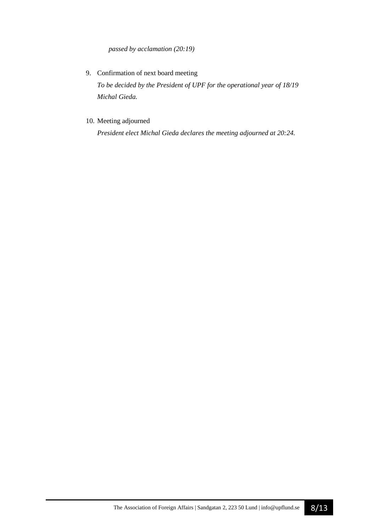*passed by acclamation (20:19)*

- 9. Confirmation of next board meeting *To be decided by the President of UPF for the operational year of 18/19 Michal Gieda.*
- 10. Meeting adjourned

*President elect Michal Gieda declares the meeting adjourned at 20:24.*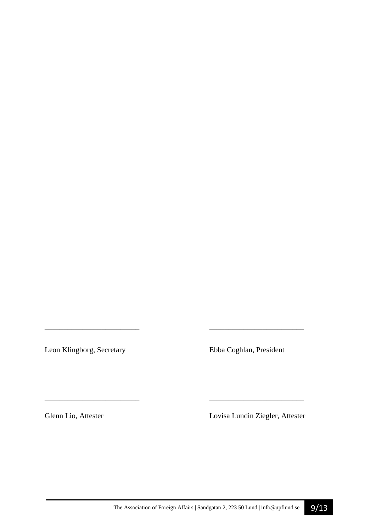Leon Klingborg, Secretary Ebba Coghlan, President

*\_\_\_\_\_\_\_\_\_\_\_\_\_\_\_\_\_\_\_\_\_\_\_\_\_ \_\_\_\_\_\_\_\_\_\_\_\_\_\_\_\_\_\_\_\_\_\_\_\_\_* 

\_\_\_\_\_\_\_\_\_\_\_\_\_\_\_\_\_\_\_\_\_\_\_\_\_ \_\_\_\_\_\_\_\_\_\_\_\_\_\_\_\_\_\_\_\_\_\_\_\_\_

Glenn Lio, Attester Lovisa Lundin Ziegler, Attester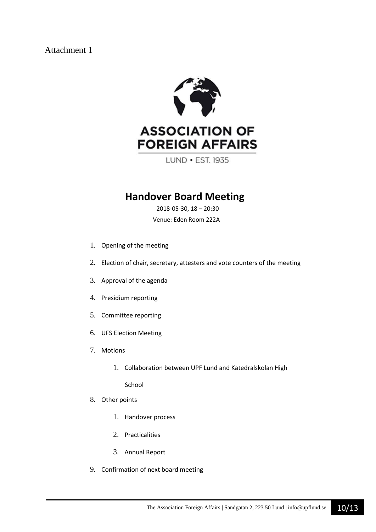# Attachment 1



LUND • EST. 1935

# **Handover Board Meeting**

2018-05-30, 18 – 20:30

Venue: Eden Room 222A

- 1. Opening of the meeting
- 2. Election of chair, secretary, attesters and vote counters of the meeting
- 3. Approval of the agenda
- 4. Presidium reporting
- 5. Committee reporting
- 6. UFS Election Meeting
- 7. Motions
	- 1. Collaboration between UPF Lund and Katedralskolan High

School

- 8. Other points
	- 1. Handover process
	- 2. Practicalities
	- 3. Annual Report
- 9. Confirmation of next board meeting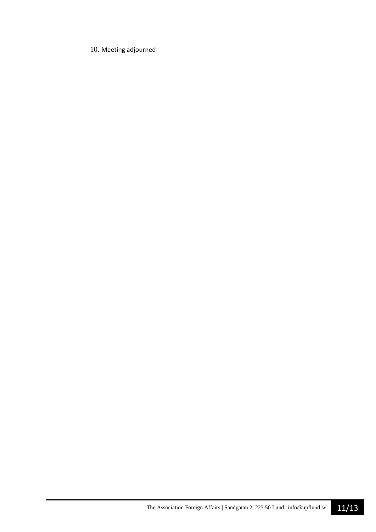# 10. Meeting adjourned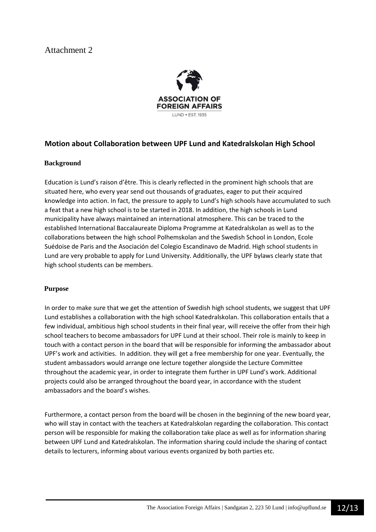# Attachment 2



# **Motion about Collaboration between UPF Lund and Katedralskolan High School**

### **Background**

Education is Lund's raison d'être. This is clearly reflected in the prominent high schools that are situated here, who every year send out thousands of graduates, eager to put their acquired knowledge into action. In fact, the pressure to apply to Lund's high schools have accumulated to such a feat that a new high school is to be started in 2018. In addition, the high schools in Lund municipality have always maintained an international atmosphere. This can be traced to the established International Baccalaureate Diploma Programme at Katedralskolan as well as to the collaborations between the high school Polhemskolan and the Swedish School in London, Ecole Suédoise de Paris and the Asociación del Colegio Escandinavo de Madrid. High school students in Lund are very probable to apply for Lund University. Additionally, the UPF bylaws clearly state that high school students can be members.

# **Purpose**

In order to make sure that we get the attention of Swedish high school students, we suggest that UPF Lund establishes a collaboration with the high school Katedralskolan. This collaboration entails that a few individual, ambitious high school students in their final year, will receive the offer from their high school teachers to become ambassadors for UPF Lund at their school. Their role is mainly to keep in touch with a contact person in the board that will be responsible for informing the ambassador about UPF's work and activities. In addition. they will get a free membership for one year. Eventually, the student ambassadors would arrange one lecture together alongside the Lecture Committee throughout the academic year, in order to integrate them further in UPF Lund's work. Additional projects could also be arranged throughout the board year, in accordance with the student ambassadors and the board's wishes.

Furthermore, a contact person from the board will be chosen in the beginning of the new board year, who will stay in contact with the teachers at Katedralskolan regarding the collaboration. This contact person will be responsible for making the collaboration take place as well as for information sharing between UPF Lund and Katedralskolan. The information sharing could include the sharing of contact details to lecturers, informing about various events organized by both parties etc.